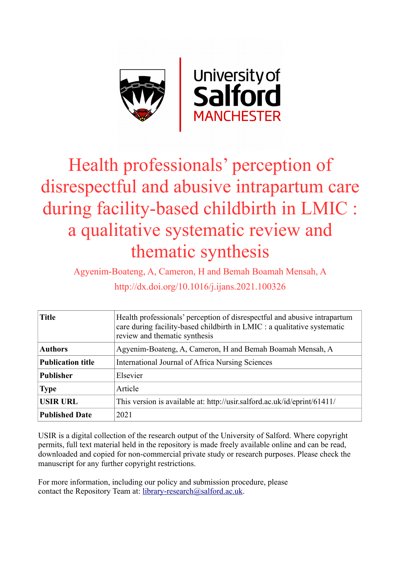

# Health professionals' perception of disrespectful and abusive intrapartum care during facility-based childbirth in LMIC : a qualitative systematic review and thematic synthesis

Agyenim-Boateng, A, Cameron, H and Bemah Boamah Mensah, A http://dx.doi.org/10.1016/j.ijans.2021.100326

| <b>Title</b>             | Health professionals' perception of disrespectful and abusive intrapartum<br>care during facility-based childbirth in LMIC : a qualitative systematic<br>review and thematic synthesis |
|--------------------------|----------------------------------------------------------------------------------------------------------------------------------------------------------------------------------------|
| <b>Authors</b>           | Agyenim-Boateng, A, Cameron, H and Bemah Boamah Mensah, A                                                                                                                              |
| <b>Publication title</b> | International Journal of Africa Nursing Sciences                                                                                                                                       |
| <b>Publisher</b>         | Elsevier                                                                                                                                                                               |
| <b>Type</b>              | Article                                                                                                                                                                                |
| <b>USIR URL</b>          | This version is available at: http://usir.salford.ac.uk/id/eprint/61411/                                                                                                               |
| <b>Published Date</b>    | 2021                                                                                                                                                                                   |

USIR is a digital collection of the research output of the University of Salford. Where copyright permits, full text material held in the repository is made freely available online and can be read, downloaded and copied for non-commercial private study or research purposes. Please check the manuscript for any further copyright restrictions.

For more information, including our policy and submission procedure, please contact the Repository Team at: [library-research@salford.ac.uk.](mailto:library-research@salford.ac.uk)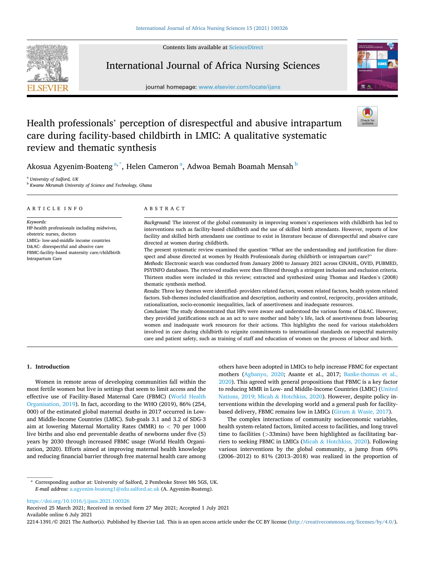Contents lists available at [ScienceDirect](www.sciencedirect.com/science/journal/22141391)



# International Journal of Africa Nursing Sciences

journal homepage: [www.elsevier.com/locate/ijans](https://www.elsevier.com/locate/ijans)



# Health professionals' perception of disrespectful and abusive intrapartum care during facility-based childbirth in LMIC: A qualitative systematic review and thematic synthesis

Akosua Agyenim-Boateng<sup>a,\*</sup>, Helen Cameron<sup>a</sup>, Adwoa Bemah Boamah Mensah <sup>b</sup>

<sup>a</sup> *University of Salford, UK* 

<sup>b</sup> *Kwame Nkrumah University of Science and Technology, Ghana* 

| ARTICLE INFO                                                                                                                                                                                                                                | ABSTRACT                                                                                                                                                                                                                                                                                                                                                                                                                                                                                                                                                                                                                                                                                                                                                                                                  |  |  |  |  |
|---------------------------------------------------------------------------------------------------------------------------------------------------------------------------------------------------------------------------------------------|-----------------------------------------------------------------------------------------------------------------------------------------------------------------------------------------------------------------------------------------------------------------------------------------------------------------------------------------------------------------------------------------------------------------------------------------------------------------------------------------------------------------------------------------------------------------------------------------------------------------------------------------------------------------------------------------------------------------------------------------------------------------------------------------------------------|--|--|--|--|
| Keywords:<br>HP-health professionals including midwives,<br>obstetric nurses, doctors<br>LMICs-low-and-middle income countries<br>D&AC- disrespectful and abusive care<br>FBMC-facility-based maternity care/childbirth<br>Intrapartum Care | Background: The interest of the global community in improving women's experiences with childbirth has led to<br>interventions such as facility-based childbirth and the use of skilled birth attendants. However, reports of low<br>facility and skilled birth attendants use continue to exist in literature because of disrespectful and abusive care<br>directed at women during childbirth.<br>The present systematic review examined the question "What are the understanding and justification for disre-                                                                                                                                                                                                                                                                                           |  |  |  |  |
|                                                                                                                                                                                                                                             | spect and abuse directed at women by Health Professionals during childbirth or intrapartum care?"<br>Methods: Electronic search was conducted from January 2000 to January 2021 across CINAHL, OVID, PUBMED,<br>PSYINFO databases. The retrieved studies were then filtered through a stringent inclusion and exclusion criteria.<br>Thirteen studies were included in this review; extracted and synthesized using Thomas and Harden's (2008)<br>thematic synthesis method.                                                                                                                                                                                                                                                                                                                              |  |  |  |  |
|                                                                                                                                                                                                                                             | Results: Three key themes were identified- providers related factors, women related factors, health system related<br>factors. Sub-themes included classification and description, authority and control, reciprocity, providers attitude,<br>rationalization, socio-economic inequalities, lack of assertiveness and inadequate resources.<br>Conclusion: The study demonstrated that HPs were aware and understood the various forms of D&AC. However,<br>they provided justifications such as an act to save mother and baby's life, lack of assertiveness from labouring<br>women and inadequate work resources for their actions. This highlights the need for various stakeholders<br>involved in care during childbirth to reignite commitments to international standards on respectful maternity |  |  |  |  |

# **1. Introduction**

Women in remote areas of developing communities fall within the most fertile women but live in settings that seem to limit access and the effective use of Facility-Based Maternal Care (FBMC) ([World Health](#page-11-0)  [Organisation, 2019\)](#page-11-0). In fact, according to the WHO (2019), 86% (254, 000) of the estimated global maternal deaths in 2017 occurred in Lowand Middle-Income Countries (LMIC). Sub-goals 3.1 and 3.2 of SDG-3 aim at lowering Maternal Mortality Rates (MMR) to *<* 70 per 1000 live births and also end preventable deaths of newborns under five (5) years by 2030 through increased FBMC usage (World Health Organization, 2020). Efforts aimed at improving maternal health knowledge and reducing financial barrier through free maternal health care among others have been adopted in LMICs to help increase FBMC for expectant mothers [\(Agbanyo, 2020;](#page-10-0) Asante et al., 2017; [Banke-thomas et al.,](#page-10-0)  [2020\)](#page-10-0). This agreed with general propositions that FBMC is a key factor to reducing MMR in Low- and Middle-Income Countries (LMIC) ([United](#page-11-0)  [Nations, 2019; Micah](#page-11-0) & Hotchkiss, 2020). However, despite policy interventions within the developing world and a general push for facilitybased delivery, FBMC remains low in LMICs (Girum & [Wasie, 2017](#page-10-0)).

care and patient safety, such as training of staff and education of women on the process of labour and birth.

The complex interactions of community socioeconomic variables, health system-related factors, limited access to facilities, and long travel time to facilities (*>*33mins) have been highlighted as facilitating barriers to seeking FBMC in LMICs (Micah & [Hotchkiss, 2020\)](#page-10-0). Following various interventions by the global community, a jump from 69% (2006–2012) to 81% (2013–2018) was realized in the proportion of

<https://doi.org/10.1016/j.ijans.2021.100326>

Available online 6 July 2021 Received 25 March 2021; Received in revised form 27 May 2021; Accepted 1 July 2021

2214-1391/© 2021 The Author(s). Published by Elsevier Ltd. This is an open access article under the CC BY license [\(http://creativecommons.org/licenses/by/4.0/\)](http://creativecommons.org/licenses/by/4.0/).

<sup>\*</sup> Corresponding author at: University of Salford, 2 Pembroke Street M6 5GS, UK. *E-mail address:* [a.agyenim-boateng1@edu.salford.ac.uk](mailto:a.agyenim-boateng1@edu.salford.ac.uk) (A. Agyenim-Boateng).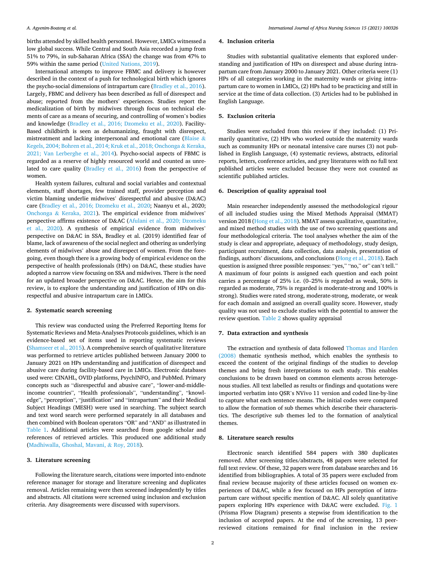births attended by skilled health personnel. However, LMICs witnessed a low global success. While Central and South Asia recorded a jump from 51% to 79%, in sub-Saharan Africa (SSA) the change was from 47% to 59% within the same period [\(United Nations, 2019\)](#page-11-0).

International attempts to improve FBMC and delivery is however described in the context of a push for technological birth which ignores the psycho-social dimensions of intrapartum care ([Bradley et al., 2016](#page-10-0)). Largely, FBMC and delivery has been described as full of disrespect and abuse; reported from the mothers' experiences. Studies report the medicalization of birth by midwives through focus on technical elements of care as a means of securing, and controlling of women's bodies and knowledge ([Bradley et al., 2016; Dzomeku et al., 2020\)](#page-10-0). Facility-Based childbirth is seen as dehumanizing, fraught with disrespect, mistreatment and lacking interpersonal and emotional care ([Blaise](#page-10-0) & [Kegels, 2004; Bohren et al., 2014; Kruk et al., 2018; Onchonga](#page-10-0) & Keraka, [2021; Van Lerberghe et al., 2014\)](#page-10-0). Psycho-social aspects of FBMC is regarded as a reserve of highly resourced world and counted as unrelated to care quality ([Bradley et al., 2016\)](#page-10-0) from the perspective of women.

Health system failures, cultural and social variables and contextual elements, staff shortages, few trained staff, provider perception and victim blaming underlie midwives' disrespectful and abusive (D&AC) care [\(Bradley et al., 2016; Dzomeku et al., 2020;](#page-10-0) Naanyu et al., 2020; Onchonga & [Keraka, 2021\)](#page-10-0). The empirical evidence from midwives' perspective affirms existence of D&AC ([Afulani et al., 2020; Dzomeku](#page-10-0)  [et al., 2020\)](#page-10-0). A synthesis of empirical evidence from midwives' perspective on D&AC in SSA, Bradley et al. (2019) identified fear of blame, lack of awareness of the social neglect and othering as underlying elements of midwives' abuse and disrespect of women. From the foregoing, even though there is a growing body of empirical evidence on the perspective of health professionals (HPs) on D&AC, these studies have adopted a narrow view focusing on SSA and midwives. There is the need for an updated broader perspective on D&AC. Hence, the aim for this review, is to explore the understanding and justification of HPs on disrespectful and abusive intrapartum care in LMICs.

#### **2. Systematic search screening**

This review was conducted using the Preferred Reporting Items for Systematic Reviews and Meta-Analyses Protocols guidelines, which is an evidence-based set of items used in reporting systematic reviews ([Shamseer et al., 2015\)](#page-11-0). A comprehensive search of qualitative literature was performed to retrieve articles published between January 2000 to January 2021 on HPs understanding and justification of disrespect and abusive care during facility-based care in LMICs. Electronic databases used were: CINAHL, OVID platforms, PsychINFO, and PubMed. Primary concepts such as "disrespectful and abusive care", "lower-and-middleincome countries", "Health professionals", "understanding", "knowledge", "perception", "justification" and "intrapartum" and their Medical Subject Headings (MESH) were used in searching. The subject search and text word search were performed separately in all databases and then combined with Boolean operators "OR" and "AND" as illustrated in [Table 1.](#page-3-0) Additional articles were searched from google scholar and references of retrieved articles. This produced one additional study ([Madhiwalla, Ghoshal, Mavani,](#page-10-0) & Roy, 2018).

#### **3. Literature screening**

Following the literature search, citations were imported into endnote reference manager for storage and literature screening and duplicates removal. Articles remaining were then screened independently by titles and abstracts. All citations were screened using inclusion and exclusion criteria. Any disagreements were discussed with supervisors.

#### **4. Inclusion criteria**

Studies with substantial qualitative elements that explored understanding and justification of HPs on disrespect and abuse during intrapartum care from January 2000 to January 2021. Other criteria were (1) HPs of all categories working in the maternity wards or giving intrapartum care to women in LMICs, (2) HPs had to be practicing and still in service at the time of data collection. (3) Articles had to be published in English Language.

#### **5. Exclusion criteria**

Studies were excluded from this review if they included: (1) Primarily quantitative, (2) HPs who worked outside the maternity wards such as community HPs or neonatal intensive care nurses (3) not published in English Language, (4) systematic reviews, abstracts, editorial reports, letters, conference articles, and grey literatures with no full text published articles were excluded because they were not counted as scientific published articles.

#### **6. Description of quality appraisal tool**

Main researcher independently assessed the methodological rigour of all included studies using the Mixed Methods Appraisal (MMAT) version 2018 ([Hong et al., 2018](#page-10-0)). MMAT assess qualitative, quantitative, and mixed method studies with the use of two screening questions and four methodological criteria. The tool analyses whether the aim of the study is clear and appropriate, adequacy of methodology, study design, participant recruitment, data collection, data analysis, presentation of findings, authors' discussions, and conclusions ([Hong et al., 2018\)](#page-10-0). Each question is assigned three possible responses: "yes," "no," or" can't tell." A maximum of four points is assigned each question and each point carries a percentage of 25% i.e. (0–25% is regarded as weak, 50% is regarded as moderate, 75% is regarded is moderate-strong and 100% is strong). Studies were rated strong, moderate-strong, moderate, or weak for each domain and assigned an overall quality score. However, study quality was not used to exclude studies with the potential to answer the review question. [Table 2](#page-5-0) shows quality appraisal

#### **7. Data extraction and synthesis**

The extraction and synthesis of data followed [Thomas and Harden](#page-11-0)  [\(2008\)](#page-11-0) thematic synthesis method, which enables the synthesis to exceed the content of the original findings of the studies to develop themes and bring fresh interpretations to each study. This enables conclusions to be drawn based on common elements across heterogenous studies. All text labelled as results or findings and quotations were imported verbatim into QSR's NVivo 11 version and coded line-by-line to capture what each sentence means. The initial codes were compared to allow the formation of sub themes which describe their characteristics. The descriptive sub themes led to the formation of analytical themes.

#### **8. Literature search results**

Electronic search identified 584 papers with 380 duplicates removed. After screening titles/abstracts, 48 papers were selected for full text review. Of these, 32 papers were from database searches and 16 identified from bibliographies. A total of 35 papers were excluded from final review because majority of these articles focused on women experiences of D&AC, while a few focused on HPs perception of intrapartum care without specific mention of D&AC. All solely quantitative papers exploring HPs experience with D&AC were excluded. [Fig. 1](#page-6-0)  (Prisma Flow Diagram) presents a stepwise from identification to the inclusion of accepted papers. At the end of the screening, 13 peerreviewed citations remained for final inclusion in the review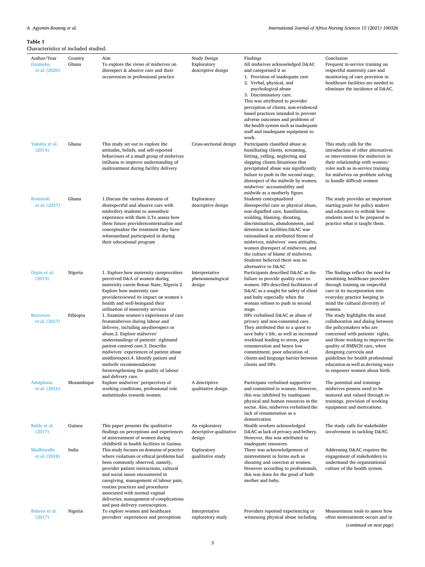#### <span id="page-3-0"></span>**Table 1**

| Characteristics of included studied.    |                  |                                                                                                                                                                                                                                                                                                                                                                                                              |                                                          |                                                                                                                                                                                                                                                                                                                                                                                                                                  |                                                                                                                                                                                                                                                                                                                                              |
|-----------------------------------------|------------------|--------------------------------------------------------------------------------------------------------------------------------------------------------------------------------------------------------------------------------------------------------------------------------------------------------------------------------------------------------------------------------------------------------------|----------------------------------------------------------|----------------------------------------------------------------------------------------------------------------------------------------------------------------------------------------------------------------------------------------------------------------------------------------------------------------------------------------------------------------------------------------------------------------------------------|----------------------------------------------------------------------------------------------------------------------------------------------------------------------------------------------------------------------------------------------------------------------------------------------------------------------------------------------|
| Author/Year<br>Dzomeku<br>et al. (2020) | Country<br>Ghana | Aim<br>To explore the views of midwives on<br>disrespect & abusive care and their<br>occurrences in professional practice                                                                                                                                                                                                                                                                                    | <b>Study Design</b><br>Exploratory<br>descriptive design | Findings<br>All midwives acknowledged D&AC<br>and categorised it as<br>1. Provision of inadequate care<br>2. Verbal, physical, and<br>psychological abuse<br>3. Discriminatory care.<br>This was attributed to provider<br>perception of clients, non-evidenced<br>based practices intended to prevent<br>adverse outcomes and problems of<br>the health system such as inadequate<br>staff and inadequate equipment to<br>work. | Conclusion<br>Frequent in-service training on<br>respectful maternity care and<br>monitoring of care provision in<br>healthcare facilities are needed to<br>eliminate the incidence of D&AC.                                                                                                                                                 |
| Yakubu et al.<br>(2014)                 | Ghana            | This study set out to explore the<br>attitudes, beliefs, and self-reported<br>behaviours of a small group of midwives<br>inGhana to improve understanding of<br>maltreatment during facility delivery                                                                                                                                                                                                        | Cross-sectional design                                   | Participants classified abuse as<br>humiliating clients, screaming,<br>hitting, yelling, neglecting and<br>slapping clients. Situations that<br>precipitated abuse was significantly<br>failure to push in the second stage,<br>disrespect of the midwife by women,<br>midwives' accountability and<br>midwife as a motherly figure.                                                                                             | This study calls for the<br>introduction of other alternatives<br>or interventions for midwives in<br>their relationship with women/<br>roles such as in-service training<br>for midwives on problem solving<br>to handle difficult women                                                                                                    |
| Rominski<br>et al. (2017)               | Ghana            | 1. Discuss the various domains of<br>disrespectful and abusive care with<br>midwifery students to assesstheir<br>experience with them 2.To assess how<br>these future providers contextualize and<br>conceptualize the treatment they have<br>witnessedand participated in during<br>their educational program                                                                                               | Exploratory<br>descriptive design                        | Students conceptualized<br>disrespectful care as physical abuse,<br>non-dignified care, humiliation,<br>scolding, blaming, shouting,<br>discrimination, abandonment, and<br>detention in facilities.D&AC was<br>rationalised as attributed Stress of<br>midwives, midwives' own attitudes,<br>women disrespect of midwives, and<br>the culture of blame of midwives.<br>Students believed there was no<br>alternative to D&AC    | The study provides an important<br>starting point for policy makers<br>and educators to rethink how<br>students need to be prepared to<br>practice what is taught them.                                                                                                                                                                      |
| Orpin et al.<br>(2019)                  | Nigeria          | 1. Explore how maternity careproviders<br>perceived D&A of women during<br>maternity carein Benue State, Nigeria 2.<br>Explore how maternity care<br>providersviewed its impact on women's<br>health and well-beingand their<br>utilisation of maternity services                                                                                                                                            | Interpretative<br>phenomenological<br>design             | Participants described D&AC as the<br>failure to provide quality care to<br>women. HPs described facilitators of<br>D&AC as a sought for safety of client<br>and baby especially when the<br>woman refuses to push in second<br>stage.                                                                                                                                                                                           | The findings reflect the need for<br>sensitising healthcare providers<br>through training on respectful<br>care in its incorporation into<br>everyday practice keeping in<br>mind the cultural diversity of<br>women.                                                                                                                        |
| <b>Burrowes</b><br>et al. (2017)        | Ethiopia         | 1. Examine women's experiences of care<br>frommidwives during labour and<br>delivery, including any disrespect or<br>abuse.2. Explore midwives'<br>understandings of patients' rightsand<br>patient-centred care.3. Describe<br>midwives' experiences of patient abuse<br>and disrespect. 4. Identify patient and<br>midwife recommendations<br>forstrengthening the quality of labour<br>and delivery care. |                                                          | HPs verbalised D&AC as abuse of<br>privacy and non-consented care.<br>They attributed this to a quest to<br>save baby's life, as well as increased<br>workload leading to stress, poor<br>renumeration and hence low<br>commitment, poor education of<br>clients and language barrier between<br>clients and HPs.                                                                                                                | The study highlights the need<br>collaboration and dialog between<br>the policymakers who are<br>concerned with patients' rights,<br>and those working to improve the<br>quality of RMNCH care, when<br>designing curricula and<br>guidelines for health professional<br>education as well as devising ways<br>to empower women about birth. |
| Adolphson<br>et al. (2016)              | Mozambique       | Explore midwives' perspectives of<br>working conditions, professional role<br>andattitudes towards women                                                                                                                                                                                                                                                                                                     | A descriptive<br>qualitative design                      | Participant verbalised supportive<br>and committed to women. However,<br>this was inhibited by inadequate<br>physical and human resources in the<br>sector. Also, midwives verbalised the<br>lack of renumeration as a<br>demotivation                                                                                                                                                                                           | The potential and trainings<br>midwives possess need to be<br>matured and valued through re-<br>trainings, provision of working<br>equipment and motivations.                                                                                                                                                                                |
| Balde et al.<br>(2017)                  | Guinea           | This paper presents the qualitative<br>findings on perceptions and experiences<br>of mistreatment of women during<br>childbirth in health facilities in Guinea.                                                                                                                                                                                                                                              | An exploratory<br>descriptive qualitative<br>design      | Health workers acknowledged<br>D&AC as lack of privacy and bribery.<br>However, this was attributed to<br>inadequate resources.                                                                                                                                                                                                                                                                                                  | The study calls for stakeholder<br>involvement in tackling D&AC.                                                                                                                                                                                                                                                                             |
| Madhiwalla<br>et al. (2018)             | India            | This study focuses on domains of practice<br>where violations or ethical problems had<br>been commonly observed, namely,<br>provider patient interactions, cultural<br>and social issues encountered in<br>caregiving, management of labour pain,<br>routine practices and procedures<br>associated with normal vaginal<br>deliveries, management of complications<br>and post-delivery contraception.       | Exploratory<br>qualitative study                         | There was acknowledgement of<br>mistreatment in forms such as<br>shouting and coercion at women.<br>However according to professionals,<br>this was done for the good of both<br>mother and baby.                                                                                                                                                                                                                                | Addressing D&AC requires the<br>engagement of stakeholders to<br>understand the organisational<br>culture of the health system.                                                                                                                                                                                                              |
| Bohren et al.<br>(2017)                 | Nigeria          | To explore women and healthcare<br>providers' experiences and perceptions                                                                                                                                                                                                                                                                                                                                    | Interpretative<br>exploratory study                      | Providers reported experiencing or<br>witnessing physical abuse including                                                                                                                                                                                                                                                                                                                                                        | Measurement tools to assess how<br>often mistreatment occurs and in                                                                                                                                                                                                                                                                          |

(*continued on next page*)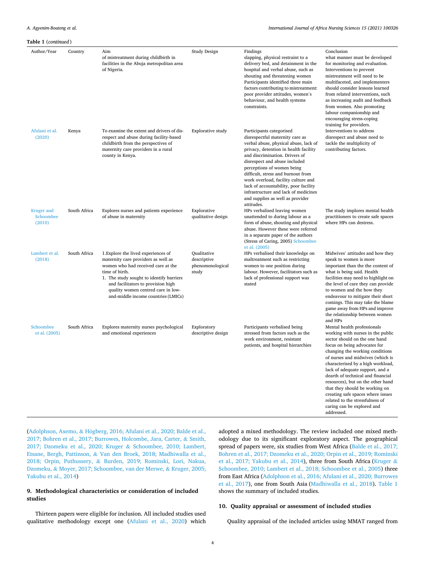| <b>Table 1</b> (continued)        |              |                                                                                                                                                                                                                                                                                                   |                                                         |                                                                                                                                                                                                                                                                                                                                                                                                                                                                |                                                                                                                                                                                                                                                                                                                                                                                                                                                                                                                 |
|-----------------------------------|--------------|---------------------------------------------------------------------------------------------------------------------------------------------------------------------------------------------------------------------------------------------------------------------------------------------------|---------------------------------------------------------|----------------------------------------------------------------------------------------------------------------------------------------------------------------------------------------------------------------------------------------------------------------------------------------------------------------------------------------------------------------------------------------------------------------------------------------------------------------|-----------------------------------------------------------------------------------------------------------------------------------------------------------------------------------------------------------------------------------------------------------------------------------------------------------------------------------------------------------------------------------------------------------------------------------------------------------------------------------------------------------------|
| Author/Year                       | Country      | Aim<br>of mistreatment during childbirth in<br>facilities in the Abuja metropolitan area<br>of Nigeria.                                                                                                                                                                                           | Study Design                                            | Findings<br>slapping, physical restraint to a<br>delivery bed, and detainment in the<br>hospital and verbal abuse, such as<br>shouting and threatening women<br>Participants identified three main<br>factors contributing to mistreatment:<br>poor provider attitudes, women's<br>behaviour, and health systems<br>constraints.                                                                                                                               | Conclusion<br>what manner must be developed<br>for monitoring and evaluation.<br>Interventions to prevent<br>mistreatment will need to be<br>multifaceted, and implementers<br>should consider lessons learned<br>from related interventions, such<br>as increasing audit and feedback<br>from women. Also promoting<br>labour companionship and<br>encouraging stress-coping                                                                                                                                   |
| Afulani et al.<br>(2020)          | Kenya        | To examine the extent and drivers of dis-<br>respect and abuse during facility-based<br>childbirth from the perspectives of<br>maternity care providers in a rural<br>county in Kenya.                                                                                                            | <b>Explorative study</b>                                | Participants categorised<br>disrespectful maternity care as<br>verbal abuse, physical abuse, lack of<br>privacy, detention in health facility<br>and discrimination. Drivers of<br>disrespect and abuse included<br>perceptions of women being<br>difficult, stress and burnout from<br>work overload, facility culture and<br>lack of accountability, poor facility<br>infrastructure and lack of medicines<br>and supplies as well as provider<br>attitudes. | training for providers.<br>Interventions to address<br>disrespect and abuse need to<br>tackle the multiplicity of<br>contributing factors.                                                                                                                                                                                                                                                                                                                                                                      |
| Kruger and<br>Schoombee<br>(2010) | South Africa | Explores nurses and patients experience<br>of abuse in maternity                                                                                                                                                                                                                                  | Explorative<br>qualitative design                       | HPs verbalised leaving women<br>unattended to during labour as a<br>form of abuse, shouting and physical<br>abuse. However these were referred<br>in a separate paper of the authors<br>(Stress of Caring, 2005) Schoombee<br>et al. (2005)                                                                                                                                                                                                                    | The study implores mental health<br>practitioners to create safe spaces<br>where HPs can destress.                                                                                                                                                                                                                                                                                                                                                                                                              |
| Lambert et al.<br>(2018)          | South Africa | 1. Explore the lived experiences of<br>maternity care providers as well as<br>women who had received care at the<br>time of birth.<br>1. The study sought to identify barriers<br>and facilitators to provision high<br>quality women centred care in low-<br>and-middle income countries (LMICs) | Qualitative<br>descriptive<br>phenomenological<br>study | HPs verbalised their knowledge on<br>maltreatment such as restricting<br>women to one position during<br>labour. However, facilitators such as<br>lack of professional support was<br>stated                                                                                                                                                                                                                                                                   | Midwives' attitudes and how they<br>speak to women is more<br>important than the the content of<br>what is being said. Health<br>facilities may need to highlight on<br>the level of care they can provide<br>to women and the how they<br>endeavour to mitigate their short<br>comings. This may take the blame<br>game away from HPs and improve<br>the relationship between women<br>and HPs                                                                                                                 |
| Schoombee<br>et al. (2005)        | South Africa | Explores maternity nurses psychological<br>and emotional experiences                                                                                                                                                                                                                              | Exploratory<br>descriptive design                       | Participants verbalised being<br>stressed from factors such as the<br>work environment, resistant<br>patients, and hospital hierarchies                                                                                                                                                                                                                                                                                                                        | Mental health professionals<br>working with nurses in the public<br>sector should on the one hand<br>focus on being advocates for<br>changing the working conditions<br>of nurses and midwives (which is<br>characterised by a high workload,<br>lack of adequate support, and a<br>dearth of technical and financial<br>resources), but on the other hand<br>that they should be working on<br>creating safe spaces where issues<br>related to the stressfulness of<br>caring can be explored and<br>hezzerbbs |

(Adolphson, Axemo, & Högberg, 2016; Afulani et al., 2020; Balde et al., [2017; Bohren et al., 2017; Burrowes, Holcombe, Jara, Carter,](#page-10-0) & Smith, [2017; Dzomeku et al., 2020; Kruger](#page-10-0) & Schoombee, 2010; Lambert, Etsane, Bergh, Pattinson, & [Van den Broek, 2018; Madhiwalla et al.,](#page-10-0)  2018; Orpin, Puthussery, & [Burden, 2019; Rominski, Lori, Nakua,](#page-10-0)  Dzomeku, & [Moyer, 2017; Schoombee, van der Merwe,](#page-10-0) & Kruger, 2005; [Yakubu et al., 2014](#page-10-0))

## **9. Methodological characteristics or consideration of included studies**

Thirteen papers were eligible for inclusion. All included studies used qualitative methodology except one [\(Afulani et al., 2020\)](#page-10-0) which

adopted a mixed methodology. The review included one mixed methodology due to its significant exploratory aspect. The geographical spread of papers were, six studies from West Africa [\(Balde et al., 2017;](#page-10-0)  [Bohren et al., 2017; Dzomeku et al., 2020; Orpin et al., 2019; Rominski](#page-10-0)  [et al., 2017; Yakubu et al., 2014](#page-10-0)), three from South Africa [\(Kruger](#page-10-0) & [Schoombee, 2010; Lambert et al., 2018; Schoombee et al., 2005\)](#page-10-0) three from East Africa ([Adolphson et al., 2016; Afulani et al., 2020; Burrowes](#page-10-0)  [et al., 2017](#page-10-0)), one from South Asia ([Madhiwalla et al., 2018](#page-10-0)). [Table 1](#page-3-0)  shows the summary of included studies.

## **10. Quality appraisal or assessment of included studies**

Quality appraisal of the included articles using MMAT ranged from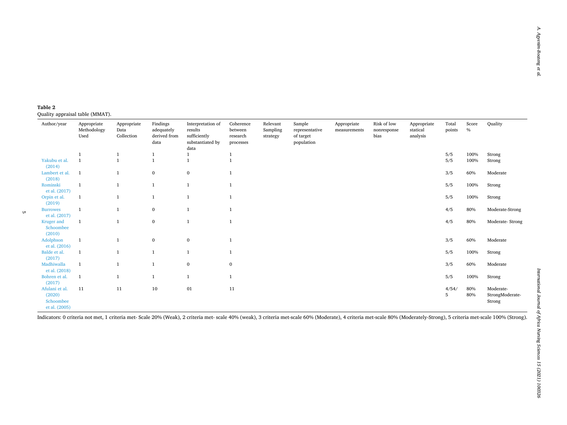#### <span id="page-5-0"></span>**Table 2**  Quality appraisal table (MMAT).

| Author/year                                            | Appropriate<br>Methodology<br>Used | Appropriate<br>Data<br>Collection | Findings<br>adequately<br>derived from<br>data | Interpretation of<br>results<br>sufficiently<br>substantiated by<br>data | Coherence<br>between<br>research<br>processes | Relevant<br>Sampling<br>strategy | Sample<br>representative<br>of target<br>population | Appropriate<br>measurements | Risk of low<br>nonresponse<br>bias | Appropriate<br>statical<br>analysis | Total<br>points | Score<br>$\%$ | Quality                                |
|--------------------------------------------------------|------------------------------------|-----------------------------------|------------------------------------------------|--------------------------------------------------------------------------|-----------------------------------------------|----------------------------------|-----------------------------------------------------|-----------------------------|------------------------------------|-------------------------------------|-----------------|---------------|----------------------------------------|
|                                                        |                                    | -1                                | $\mathbf{1}$                                   |                                                                          | 1                                             |                                  |                                                     |                             |                                    |                                     | 5/5             | 100%          | Strong                                 |
| Yakubu et al.<br>(2014)                                | $\mathbf{1}$                       | $\overline{1}$                    | $\overline{1}$                                 |                                                                          |                                               |                                  |                                                     |                             |                                    |                                     | 5/5             | 100%          | Strong                                 |
| Lambert et al.<br>(2018)                               | $\mathbf{1}$                       | $\mathbf{1}$                      | $\bf{0}$                                       | $\bf{0}$                                                                 |                                               |                                  |                                                     |                             |                                    |                                     | 3/5             | 60%           | Moderate                               |
| Rominski<br>et al. (2017)                              | $\mathbf{1}$                       | $\mathbf{1}$                      | $\mathbf{1}$                                   | $\mathbf{1}$                                                             | $\mathbf{1}$                                  |                                  |                                                     |                             |                                    |                                     | 5/5             | 100%          | Strong                                 |
| Orpin et al.<br>(2019)                                 | $\mathbf{1}$                       | $\mathbf{1}$                      | $\mathbf{1}$                                   | $\mathbf{1}$                                                             | $\mathbf{1}$                                  |                                  |                                                     |                             |                                    |                                     | 5/5             | 100%          | Strong                                 |
| <b>Burrowes</b><br>et al. (2017)                       | $\mathbf{1}$                       | $\mathbf{1}$                      | $\bf{0}$                                       |                                                                          |                                               |                                  |                                                     |                             |                                    |                                     | 4/5             | 80%           | Moderate-Strong                        |
| Kruger and<br>Schoombee<br>(2010)                      | $\mathbf{1}$                       | $\mathbf{1}$                      | $\bf{0}$                                       | $\mathbf{1}$                                                             | $\overline{1}$                                |                                  |                                                     |                             |                                    |                                     | 4/5             | 80%           | Moderate-Strong                        |
| Adolphson<br>et al. (2016)                             | $\mathbf{1}$                       | $\mathbf{1}$                      | $\bf{0}$                                       | $\bf{0}$                                                                 |                                               |                                  |                                                     |                             |                                    |                                     | 3/5             | 60%           | Moderate                               |
| Balde et al.<br>(2017)                                 | $\mathbf{1}$                       | $\mathbf{1}$                      | $\mathbf{1}$                                   | $\mathbf{1}$                                                             | $\mathbf{1}$                                  |                                  |                                                     |                             |                                    |                                     | 5/5             | 100%          | Strong                                 |
| Madhiwalla<br>et al. (2018)                            | $\mathbf{1}$                       | $\mathbf{1}$                      | $\mathbf{1}$                                   | $\mathbf{0}$                                                             | $\bf{0}$                                      |                                  |                                                     |                             |                                    |                                     | 3/5             | 60%           | Moderate                               |
| Bohren et al.<br>(2017)                                | $\mathbf{1}$                       | $\mathbf{1}$                      | $\mathbf{1}$                                   | $\mathbf{1}$                                                             | $\mathbf{1}$                                  |                                  |                                                     |                             |                                    |                                     | 5/5             | 100%          | Strong                                 |
| Afulani et al.<br>(2020)<br>Schoombee<br>et al. (2005) | 11                                 | 11                                | 10                                             | 01                                                                       | 11                                            |                                  |                                                     |                             |                                    |                                     | 4/54/<br>5      | 80%<br>80%    | Moderate-<br>StrongModerate-<br>Strong |

Indicators: 0 criteria not met, 1 criteria met- Scale 20% (Weak), 2 criteria met- scale 40% (weak), 3 criteria met-scale 60% (Moderate), 4 criteria met-scale 80% (Moderately-Strong), 5 criteria met-scale 100% (Strong).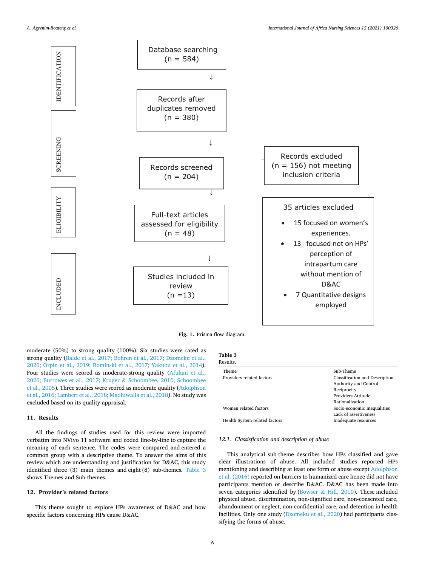<span id="page-6-0"></span>

**Fig. 1.** Prisma flow diagram.

moderate (50%) to strong quality (100%). Six studies were rated as strong quality [\(Balde et al., 2017; Bohren et al., 2017; Dzomeku et al.,](#page-10-0)  [2020; Orpin et al., 2019; Rominski et al., 2017; Yakubu et al., 2014](#page-10-0)). Four studies were scored as moderate-strong quality ([Afulani et al.,](#page-10-0)  [2020; Burrowes et al., 2017; Kruger](#page-10-0) & Schoombee, 2010; Schoombee [et al., 2005](#page-10-0)). Three studies were scored as moderate quality [\(Adolphson](#page-10-0)  [et al., 2016; Lambert et al., 2018; Madhiwalla et al., 2018\)](#page-10-0). No study was excluded based on its quality appraisal.

# **11. Results**

All the findings of studies used for this review were imported verbatim into NVivo 11 software and coded line-by-line to capture the meaning of each sentence. The codes were compared and entered a common group with a descriptive theme. To answer the aims of this review which are understanding and justification for D&AC, this study identified three (3) main themes and eight (8) sub-themes. Table 3 shows Themes and Sub-themes.

### **12. Provider's related factors**

This theme sought to explore HPs awareness of D&AC and how specific factors concerning HPs cause D&AC.

| Table 3       |  |
|---------------|--|
| <b>Recult</b> |  |

| Theme                         | Sub-Theme                      |
|-------------------------------|--------------------------------|
| Providers related factors     | Classification and Description |
|                               | Authority and Control          |
|                               | Reciprocity                    |
|                               | Providers Attitude             |
|                               | Rationalization                |
| Women related factors         | Socio-economic Inequalities    |
|                               | Lack of assertiveness          |
| Health System related factors | Inadequate resources           |
|                               |                                |

#### *12.1. Classisfication and description of abuse*

This analytical sub-theme describes how HPs classified and gave clear illustrations of abuse. All included studies reported HPs mentioning and describing at least one form of abuse except [Adolphson](#page-10-0)  [et al. \(2016\)](#page-10-0) reported on barriers to humanized care hence did not have participants mention or describe D&AC. D&AC has been made into seven categories identified by (Bowser  $\&$  [Hill, 2010](#page-10-0)). These included physical abuse, discrimination, non-dignified care, non-consented care, abandonment or neglect, non-confidential care, and detention in health facilities. Only one study [\(Dzomeku et al., 2020\)](#page-10-0) had participants classifying the forms of abuse.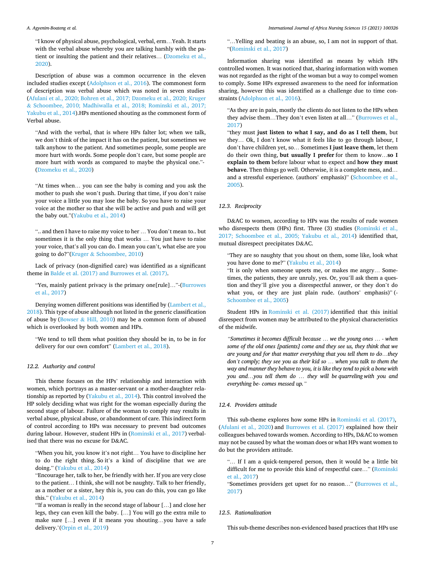"I know of physical abuse, psychological, verbal, erm…Yeah. It starts with the verbal abuse whereby you are talking harshly with the patient or insulting the patient and their relatives… ([Dzomeku et al.,](#page-10-0)  [2020\)](#page-10-0).

Description of abuse was a common occurrence in the eleven included studies except [\(Adolphson et al., 2016\)](#page-10-0). The commonest form of description was verbal abuse which was noted in seven studies ([Afulani et al., 2020; Bohren et al., 2017; Dzomeku et al., 2020; Kruger](#page-10-0)  & [Schoombee, 2010; Madhiwalla et al., 2018; Rominski et al., 2017;](#page-10-0)  [Yakubu et al., 2014\)](#page-10-0).HPs mentioned shouting as the commonest form of Verbal abuse.

"And with the verbal, that is where HPs falter lot; when we talk, we don't think of the impact it has on the patient, but sometimes we talk anyhow to the patient. And sometimes people, some people are more hurt with words. Some people don't care, but some people are more hurt with words as compared to maybe the physical one."- ([Dzomeku et al., 2020](#page-10-0))

"At times when… you can see the baby is coming and you ask the mother to push she won't push. During that time, if you don't raise your voice a little you may lose the baby. So you have to raise your voice at the mother so that she will be active and push and will get the baby out."[\(Yakubu et al., 2014](#page-11-0))

".. and then I have to raise my voice to her … You don't mean to.. but sometimes it is the only thing that works … You just have to raise your voice, that's all you can do. I mean you can't, what else are you going to do?"(Kruger & [Schoombee, 2010\)](#page-10-0)

Lack of privacy (non-dignified care) was identified as a significant theme in [Balde et al. \(2017\) and Burrowes et al. \(2017\)](#page-10-0).

"Yes, mainly patient privacy is the primary one[rule]…"-[\(Burrowes](#page-10-0)  [et al., 2017\)](#page-10-0)

Denying women different positions was identified by [\(Lambert et al.,](#page-10-0)  [2018\)](#page-10-0). This type of abuse although not listed in the generic classification of abuse by (Bowser  $& Hill, 2010$  $& Hill, 2010$ ) may be a common form of abused which is overlooked by both women and HPs.

"We tend to tell them what position they should be in, to be in for delivery for our own comfort" [\(Lambert et al., 2018](#page-10-0)).

#### *12.2. Authority and control*

This theme focuses on the HPs' relationship and interaction with women, which portrays as a master-servant or a mother-daughter relationship as reported by ([Yakubu et al., 2014\)](#page-11-0). This control involved the HP solely deciding what was right for the woman especially during the second stage of labour. Failure of the woman to comply may results in verbal abuse, physical abuse, or abandonment of care. This indirect form of control according to HPs was necessary to prevent bad outcomes during labour. However, student HPs in [\(Rominski et al., 2017](#page-11-0)) verbalised that there was no excuse for D&AC.

"When you hit, you know it's not right… You have to discipline her to do the right thing. So it's a kind of discipline that we are doing." [\(Yakubu et al., 2014\)](#page-11-0)

"Encourage her, talk to her, be friendly with her. If you are very close to the patient… I think, she will not be naughty. Talk to her friendly, as a mother or a sister, hey this is, you can do this, you can go like this." [\(Yakubu et al., 2014\)](#page-11-0)

''If a woman is really in the second stage of labour […] and close her legs, they can even kill the baby. […] You will go the extra mile to make sure […] even if it means you shouting…you have a safe delivery.'[\(Orpin et al., 2019](#page-10-0))

"…Yelling and beating is an abuse, so, I am not in support of that. "[\(Rominski et al., 2017\)](#page-11-0)

Information sharing was identified as means by which HPs controlled women. It was noticed that, sharing information with women was not regarded as the right of the woman but a way to compel women to comply. Some HPs expressed awareness to the need for information sharing, however this was identified as a challenge due to time constraints [\(Adolphson et al., 2016\)](#page-10-0).

"As they are in pain, mostly the clients do not listen to the HPs when they advise them…They don't even listen at all…" [\(Burrowes et al.,](#page-10-0)  [2017\)](#page-10-0)

"they must **just listen to what I say, and do as I tell them**, but they… Ok, I don't know what it feels like to go through labour, I don't have children yet, so… Sometimes **I just leave them**, let them do their own thing, **but usually I prefer** for them to know…**so I explain to them** before labour what to expect and **how they must behave**. Then things go well. Otherwise, it is a complete mess, and… and a stressful experience. (authors' emphasis)" ([Schoombee et al.,](#page-11-0)  [2005\)](#page-11-0).

#### *12.3. Reciprocity*

D&AC to women, according to HPs was the results of rude women who disrespects them (HPs) first. Three (3) studies [\(Rominski et al.,](#page-11-0)  [2017; Schoombee et al., 2005; Yakubu et al., 2014\)](#page-11-0) identified that, mutual disrespect precipitates D&AC.

"They are so naughty that you shout on them, some like, look what you have done to me?" [\(Yakubu et al., 2014\)](#page-11-0)

"It is only when someone upsets me, or makes me angry… Sometimes, the patients, they are unruly, yes. Or, you'll ask them a question and they'll give you a disrespectful answer, or they don't do what you, or they are just plain rude. (authors' emphasis)" (-[Schoombee et al., 2005](#page-11-0))

Student HPs in [Rominski et al. \(2017\)](#page-11-0) identified that this initial disrespect from women may be attributed to the physical characteristics of the midwife.

*"Sometimes it becomes difficult because* … *we the young ones* … *- when some of the old ones [patients] come and they see us, they think that we are young and for that matter everything that you tell them to do*…*they don't comply; they see you as their kid so* … *when you talk to them the way and manner they behave to you, it is like they tend to pick a bone with you and*…*you tell them do* … *they will be quarreling with you and everything be- comes messed up."* 

#### *12.4. Providers attitude*

This sub-theme explores how some HPs in [Rominski et al. \(2017\)](#page-11-0), ([Afulani et al., 2020\)](#page-10-0) and [Burrowes et al. \(2017\)](#page-10-0) explained how their colleagues behaved towards women. According to HPs, D&AC to women may not be caused by what the woman does or what HPs want women to do but the providers attitude.

"… If I am a quick-tempered person, then it would be a little bit difficult for me to provide this kind of respectful care…" ([Rominski](#page-11-0)  [et al., 2017\)](#page-11-0)

"Sometimes providers get upset for no reason…" ([Burrowes et al.,](#page-10-0)  [2017\)](#page-10-0)

#### *12.5. Rationalization*

This sub-theme describes non-evidenced based practices that HPs use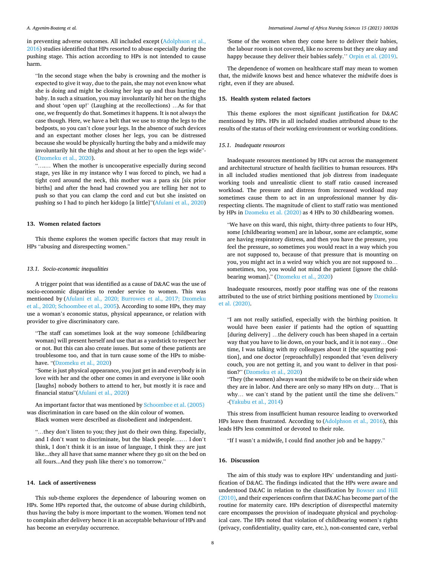in preventing adverse outcomes. All included except ([Adolphson et al.,](#page-10-0)  [2016\)](#page-10-0) studies identified that HPs resorted to abuse especially during the pushing stage. This action according to HPs is not intended to cause harm.

"In the second stage when the baby is crowning and the mother is expected to give it way, due to the pain, she may not even know what she is doing and might be closing her legs up and thus hurting the baby. In such a situation, you may involuntarily hit her on the thighs and shout 'open up!' (Laughing at the recollections) …As for that one, we frequently do that. Sometimes it happens. It is not always the case though. Here, we have a belt that we use to strap the legs to the bedposts, so you can't close your legs. In the absence of such devices and an expectant mother closes her legs, you can be distressed because she would be physically hurting the baby and a midwife may involuntarily hit the thighs and shout at her to open the legs wide"- ([Dzomeku et al., 2020](#page-10-0)).

"….… When the mother is uncooperative especially during second stage, yes like in my instance why I was forced to pinch, we had a tight cord around the neck, this mother was a para six [six prior births] and after the head had crowned you are telling her not to push so that you can clamp the cord and cut but she insisted on pushing so I had to pinch her kidogo [a little]"[\(Afulani et al., 2020\)](#page-10-0)

#### **13. Women related factors**

This theme explores the women specific factors that may result in HPs "abusing and disrespecting women."

#### *13.1. Socio-economic inequalities*

A trigger point that was identified as a cause of D&AC was the use of socio-economic disparities to render service to women. This was mentioned by [\(Afulani et al., 2020; Burrowes et al., 2017; Dzomeku](#page-10-0)  [et al., 2020; Schoombee et al., 2005](#page-10-0)). According to some HPs, they may use a woman's economic status, physical appearance, or relation with provider to give discriminatory care.

"The staff can sometimes look at the way someone [childbearing woman] will present herself and use that as a yardstick to respect her or not. But this can also create issues. But some of these patients are troublesome too, and that in turn cause some of the HPs to misbehave. "[\(Dzomeku et al., 2020](#page-10-0))

"Some is just physical appearance, you just get in and everybody is in love with her and the other one comes in and everyone is like oooh [laughs] nobody bothers to attend to her, but mostly it is race and financial status"[\(Afulani et al., 2020\)](#page-10-0)

An important factor that was mentioned by [Schoombee et al. \(2005\)](#page-11-0)  was discrimination in care based on the skin colour of women. Black women were described as disobedient and independent.

"…they don't listen to you; they just do their own thing. Especially, and I don't want to discriminate, but the black people….… I don't think, I don't think it is an issue of language, I think they are just like...they all have that same manner where they go sit on the bed on all fours...And they push like there's no tomorrow."

#### **14. Lack of assertiveness**

This sub-theme explores the dependence of labouring women on HPs. Some HPs reported that, the outcome of abuse during childbirth, thus having the baby is more important to the women. Women tend not to complain after delivery hence it is an acceptable behaviour of HPs and has become an everyday occurrence.

'Some of the women when they come here to deliver their babies, the labour room is not covered, like no screens but they are okay and happy because they deliver their babies safely." [Orpin et al. \(2019\)](#page-10-0).

The dependence of women on healthcare staff may mean to women that, the midwife knows best and hence whatever the midwife does is right, even if they are abused.

#### **15. Health system related factors**

This theme explores the most significant justification for D&AC mentioned by HPs. HPs in all included studies attributed abuse to the results of the status of their working environment or working conditions.

#### *15.1. Inadequate resources*

Inadequate resources mentioned by HPs cut across the management and architectural structure of health facilities to human resources. HPs in all included studies mentioned that job distress from inadequate working tools and unrealistic client to staff ratio caused increased workload. The pressure and distress from increased workload may sometimes cause them to act in an unprofessional manner by disrespecting clients. The magnitude of client to staff ratio was mentioned by HPs in [Dzomeku et al. \(2020\)](#page-10-0) as 4 HPs to 30 childbearing women.

"We have on this ward, this night, thirty-three patients to four HPs, some [childbearing women] are in labour, some are eclamptic, some are having respiratory distress, and then you have the pressure, you feel the pressure, so sometimes you would react in a way which you are not supposed to, because of that pressure that is mounting on you, you might act in a weird way which you are not supposed to… sometimes, too, you would not mind the patient [ignore the childbearing woman]." ([Dzomeku et al., 2020](#page-10-0))

Inadequate resources, mostly poor staffing was one of the reasons attributed to the use of strict birthing positions mentioned by [Dzomeku](#page-10-0)  [et al. \(2020\).](#page-10-0)

"I am not really satisfied, especially with the birthing position. It would have been easier if patients had the option of squatting [during delivery] …the delivery couch has been shaped in a certain way that you have to lie down, on your back, and it is not easy… One time, I was talking with my colleagues about it [the squatting position], and one doctor [reproachfully] responded that 'even delivery couch, you are not getting it, and you want to deliver in that position?" ([Dzomeku et al., 2020\)](#page-10-0)

"They (the women) always want the midwife to be on their side when they are in labor. And there are only so many HPs on duty… That is why… we can't stand by the patient until the time she delivers." -[\(Yakubu et al., 2014\)](#page-11-0)

This stress from insufficient human resource leading to overworked HPs leave them frustrated. According to [\(Adolphson et al., 2016\)](#page-10-0), this leads HPs less committed or devoted to their role.

"If I wasn't a midwife, I could find another job and be happy."

#### **16. Discussion**

The aim of this study was to explore HPs' understanding and justification of D&AC. The findings indicated that the HPs were aware and understood D&AC in relation to the classification by [Bowser and Hill](#page-10-0)  [\(2010\),](#page-10-0) and their experiences confirm that D&AC has become part of the routine for maternity care. HPs description of disrespectful maternity care encompasses the provision of inadequate physical and psychological care. The HPs noted that violation of childbearing women's rights (privacy, confidentiality, quality care, etc.), non-consented care, verbal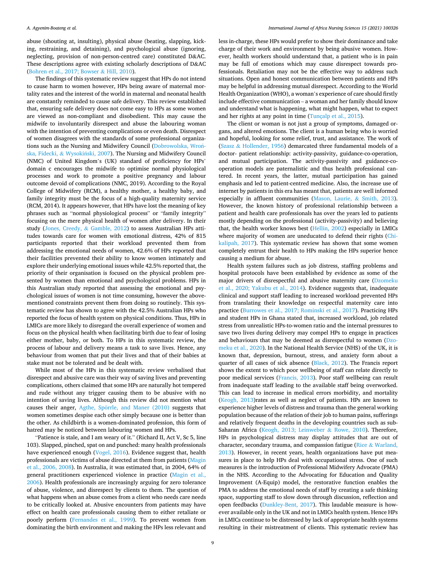abuse (shouting at, insulting), physical abuse (beating, slapping, kicking, restraining, and detaining), and psychological abuse (ignoring, neglecting, provision of non-person-centred care) constituted D&AC. These descriptions agree with existing scholarly descriptions of D&AC ([Bohren et al., 2017; Bowser](#page-10-0) & Hill, 2010).

The findings of this systematic review suggest that HPs do not intend to cause harm to women however, HPs being aware of maternal mortality rates and the interest of the world in maternal and neonatal health are constantly reminded to cause safe delivery. This review established that, ensuring safe delivery does not come easy to HPs as some women are viewed as non-compliant and disobedient. This may cause the midwife to involuntarily disrespect and abuse the labouring woman with the intention of preventing complications or even death. Disrespect of women disagrees with the standards of some professional organiza-tions such as the Nursing and Midwifery Council ([Dobrowolska, Wron](#page-10-0)[ska, Fidecki,](#page-10-0) & Wysokiński, 2007). The Nursing and Midwifery Council (NMC) of United Kingdom's (UK) standard of proficiency for HPs' domain c encourages the midwife to optimise normal physiological processes and work to promote a positive pregnancy and labour outcome devoid of complications (NMC, 2019). According to the Royal College of Midwifery (RCM), a healthy mother, a healthy baby, and family integrity must be the focus of a high-quality maternity service (RCM, 2014). It appears however, that HPs have lost the meaning of key phrases such as "normal physiological process" or "family integrity" focusing on the mere physical health of women after delivery. In their study ([Jones, Creedy,](#page-10-0) & Gamble, 2012) to assess Australian HPs attitudes towards care for women with emotional distress, 42% of 815 participants reported that their workload prevented them from addressing the emotional needs of women, 42.6% of HPs reported that their facilities prevented their ability to know women intimately and explore their underlying emotional issues while 42.5% reported that, the priority of their organisation is focused on the physical problem presented by women than emotional and psychological problems. HPs in this Australian study reported that assessing the emotional and psychological issues of women is not time consuming, however the abovementioned constraints prevent them from doing so routinely. This systematic review has shown to agree with the 42.5% Australian HPs who reported the focus of health system on physical conditions. Thus, HPs in LMICs are more likely to disregard the overall experience of women and focus on the physical health when facilitating birth due to fear of losing either mother, baby, or both. To HPs in this systematic review, the process of labour and delivery means a task to save lives. Hence, any behaviour from women that put their lives and that of their babies at stake must not be tolerated and be dealt with.

While most of the HPs in this systematic review verbalised that disrespect and abusive care was their way of saving lives and preventing complications, others claimed that some HPs are naturally hot tempered and rude without any trigger causing them to be abusive with no intention of saving lives. Although this review did not mention what causes their anger, Agthe, Spörrle, [and Maner \(2010\)](#page-10-0) suggests that women sometimes despise each other simply because one is better than the other. As childbirth is a women-dominated profession, this form of hatred may be noticed between labouring women and HPs.

"Patience is stale, and I am weary of it." (Richard II, Act V, Sc 5, line 103). Slapped, pinched, spat on and punched: many health professionals have experienced enough ([Vogel, 2016\)](#page-11-0). Evidence suggest that, health professionals are victims of abuse directed at them from patients ([Magin](#page-10-0)  [et al., 2006, 2008](#page-10-0)). In Australia, it was estimated that, in 2004, 64% of general practitioners experienced violence in practice [\(Magin et al.,](#page-10-0)  [2006\)](#page-10-0). Health professionals are increasingly arguing for zero tolerance of abuse, violence, and disrespect by clients to them. The question of what happens when an abuse comes from a client who needs care needs to be critically looked at. Abusive encounters from patients may have effect on health care professionals causing them to either retaliate or poorly perform [\(Fernandes et al., 1999](#page-10-0)). To prevent women from dominating the birth environment and making the HPs less relevant and less in-charge, these HPs would prefer to show their dominance and take charge of their work and environment by being abusive women. However, health workers should understand that, a patient who is in pain may be full of emotions which may cause disrespect towards professionals. Retaliation may not be the effective way to address such situations. Open and honest communication between patients and HPs may be helpful in addressing mutual disrespect. According to the World Health Organization (WHO), a woman's experience of care should firstly include effective communication – a woman and her family should know and understand what is happening, what might happen, what to expect and her rights at any point in time [\(Tunçalp et al., 2015](#page-11-0)).

The client or woman is not just a group of symptoms, damaged organs, and altered emotions. The client is a human being who is worried and hopeful, looking for some relief, trust, and assistance. The work of (Szasz & [Hollender, 1956\)](#page-11-0) demarcated three fundamental models of a doctor- patient relationship: activity-passivity, guidance-co-operation, and mutual participation. The activity-passivity and guidance-cooperation models are paternalistic and thus health professional cantered. In recent years, the latter, mutual participation has gained emphasis and led to patient-centred medicine. Also, the increase use of internet by patients in this era has meant that, patients are well informed especially in affluent communities ([Mason, Laurie,](#page-10-0) & Smith, 2013). However, the known history of professional relationship between a patient and health care professionals has over the years led to patients mostly depending on the professional (activity-passivity) and believing that, the health worker knows best [\(Hellin, 2002\)](#page-10-0) especially in LMICs where majority of women are uneducated to defend their rights [\(Chi](#page-10-0)[kalipah, 2017](#page-10-0)). This systematic review has shown that some women completely entrust their health to HPs making the HPs superior hence causing a medium for abuse.

Health system failures such as job distress, staffing problems and hospital protocols have been established by evidence as some of the major drivers of disrespectful and abusive maternity care ([Dzomeku](#page-10-0)  [et al., 2020; Yakubu et al., 2014](#page-10-0)). Evidence suggests that, inadequate clinical and support staff leading to increased workload prevented HPs from translating their knowledge on respectful maternity care into practice [\(Burrowes et al., 2017; Rominski et al., 2017](#page-10-0)). Practicing HPs and student HPs in Ghana stated that, increased workload, job related stress from unrealistic HPs-to-women ratio and the internal pressures to save two lives during delivery may compel HPs to engage in practices and behaviours that may be deemed as disrespectful to women ([Dzo](#page-10-0)[meku et al., 2020\)](#page-10-0). In the National Health Service (NHS) of the UK, it is known that, depression, burnout, stress, and anxiety form about a quarter of all cases of sick absence ([Black, 2012\)](#page-10-0). The Francis report shows the extent to which poor wellbeing of staff can relate directly to poor medical services [\(Francis, 2013](#page-10-0)). Poor staff wellbeing can result from inadequate staff leading to the available staff being overworked. This can lead to increase in medical errors morbidity, and mortality ([Keogh, 2013](#page-10-0))rates as well as neglect of patients. HPs are known to experience higher levels of distress and trauma than the general working population because of the relation of their job to human pains, sufferings and relatively frequent deaths in the developing countries such as sub-Saharan Africa ([Keogh, 2013; Leinweber](#page-10-0) & Rowe, 2010). Therefore, HPs in psychological distress may display attitudes that are out of character, secondary trauma, and compassion fatigue (Rice & [Warland,](#page-11-0)  [2013\)](#page-11-0). However, in recent years, health organizations have put measures in place to help HPs deal with occupational stress. One of such measures is the introduction of Professional Midwifery Advocate (PMA) in the NHS. According to the Advocating for Education and Quality Improvement (A-Equip) model, the restorative function enables the PMA to address the emotional needs of staff by creating a safe thinking space, supporting staff to slow down through discussion, reflection and open feedbacks ([Dunkley-Bent, 2017\)](#page-10-0). This laudable measure is however available only in the UK and not in LMICs health system. Hence HPs in LMICs continue to be distressed by lack of appropriate health systems resulting in their mistreatment of clients. This systematic review has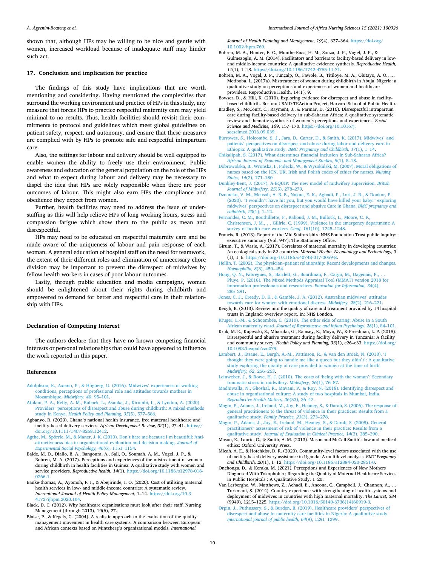<span id="page-10-0"></span>shown that, although HPs may be willing to be nice and gentle with women, increased workload because of inadequate staff may hinder such act.

#### **17. Conclusion and implication for practice**

The findings of this study have implications that are worth mentioning and considering. Having mentioned the complexities that surround the working environment and practice of HPs in this study, any measure that forces HPs to practice respectful maternity care may yield minimal to no results. Thus, health facilities should revisit their commitments to protocol and guidelines which meet global guidelines on patient safety, respect, and autonomy, and ensure that these measures are complied with by HPs to promote safe and respectful intrapartum care.

Also, the settings for labour and delivery should be well equipped to enable women the ability to freely use their environment. Public awareness and education of the general population on the role of the HPs and what to expect during labour and delivery may be necessary to dispel the idea that HPs are solely responsible when there are poor outcomes of labour. This might also earn HPs the compliance and obedience they expect from women.

Further, health facilities may need to address the issue of understaffing as this will help relieve HPs of long working hours, stress and compassion fatigue which show them to the public as mean and disrespectful.

HPs may need to be educated on respectful maternity care and be made aware of the uniqueness of labour and pain response of each woman. A general education of hospital staff on the need for teamwork, the extent of their different roles and elimination of unnecessary chore division may be important to prevent the disrespect of midwives by fellow health workers in cases of poor labour outcomes.

Lastly, through public education and media campaigns, women should be enlightened about their rights during childbirth and empowered to demand for better and respectful care in their relationship with HPs.

#### **Declaration of Competing Interest**

The authors declare that they have no known competing financial interests or personal relationships that could have appeared to influence the work reported in this paper.

#### **References**

- Adolphson, K., Axemo, P., & Högberg, U. (2016). Midwives' experiences of working [conditions, perceptions of professional role and attitudes towards mothers in](http://refhub.elsevier.com/S2214-1391(21)00049-4/h0005)  [Mozambique.](http://refhub.elsevier.com/S2214-1391(21)00049-4/h0005) *Midwifery, 40*, 95–101.
- [Afulani, P. A., Kelly, A. M., Buback, L., Asunka, J., Kirumbi, L., & Lyndon, A. \(2020\).](http://refhub.elsevier.com/S2214-1391(21)00049-4/h0010) Providers' [perceptions of disrespect and abuse during childbirth: A mixed-methods](http://refhub.elsevier.com/S2214-1391(21)00049-4/h0010) study in Kenya. *[Health Policy and Planning, 35](http://refhub.elsevier.com/S2214-1391(21)00049-4/h0010)*(5), 577–586.
- Agbanyo, R. (2020). Ghana's national health insurance, free maternal healthcare and facility-based delivery services. *African Development Review, 32*(1), 27–41. [https://](https://doi.org/10.1111/1467-8268.12412)  [doi.org/10.1111/1467-8268.12412.](https://doi.org/10.1111/1467-8268.12412)
- Agthe, M., Spörrle, [M., & Maner, J. K. \(2010\). Don](http://refhub.elsevier.com/S2214-1391(21)00049-4/h0020)'t hate me because I'm beautiful: Anti[attractiveness bias in organizational evaluation and decision making.](http://refhub.elsevier.com/S2214-1391(21)00049-4/h0020) *Journal of [Experimental Social Psychology, 46](http://refhub.elsevier.com/S2214-1391(21)00049-4/h0020)*(6), 1151–1154.
- Balde, M. D., Diallo, B. A., Bangoura, A., Sall, O., Soumah, A. M., Vogel, J. P., & Bohren, M. A. (2017). Perceptions and experiences of the mistreatment of women during childbirth in health facilities in Guinea: A qualitative study with women and service providers. *Reproductive health, 14*(1). [https://doi.org/10.1186/s12978-016-](https://doi.org/10.1186/s12978-016-0266-1) [0266-1.](https://doi.org/10.1186/s12978-016-0266-1)
- Banke-thomas, A., Ayomoh, F. I., & Abejirinde, I. O. (2020). Cost of utilising maternal health services in low- and middle-income countries: A systematic review. *International Journal of Health Policy Management*, 1–14. [https://doi.org/10.3](https://doi.org/10.34172/ijhpm.2020.104)  [4172/ijhpm.2020.104](https://doi.org/10.34172/ijhpm.2020.104).
- Black, D. C. (2012). Why healthcare organisations must look after their staff. Nursing Management (through 2013), 19(6), 27.
- Blaise, P., & Kegels, G. (2004). A realistic approach to the evaluation of the quality management movement in health care systems: A comparison between European and African contexts based on Mintzberg's organizational models. *International*

*Journal of Health Planning and Management, 19*(4), 337–364. [https://doi.org/](https://doi.org/10.1002/hpm.769) [10.1002/hpm.769](https://doi.org/10.1002/hpm.769).

- Bohren, M. A., Hunter, E. C., Munthe-Kaas, H. M., Souza, J. P., Vogel, J. P., & Gülmezoglu, A. M. (2014). Facilitators and barriers to facility-based delivery in lowand middle-income countries: A qualitative evidence synthesis. *Reproductive Health, 11*(1), 1–18. [https://doi.org/10.1186/1742-4755-11-71.](https://doi.org/10.1186/1742-4755-11-71)
- Bohren, M. A., Vogel, J. P., Tunçalp, Ö., Fawole, B., Titiloye, M. A., Olutayo, A. O., .. Metiboba, L. (2017a). Mistreatment of women during childbirth in Abuja, Nigeria: a qualitative study on perceptions and experiences of women and healthcare providers. Reproductive Health, 14(1), 9.
- Bowser, D., & Hill, K. (2010). Exploring evidence for disrespect and abuse in facilitybased childbirth. Boston: USAID-TRAction Project, Harvard School of Public Health.
- Bradley, S., McCourt, C., Rayment, J., & Parmar, D. (2016). Disrespectful intrapartum care during facility-based delivery in sub-Saharan Africa: A qualitative systematic review and thematic synthesis of women's perceptions and experiences. *Social Science and Medicine, 169*, 157–170. [https://doi.org/10.1016/j.](https://doi.org/10.1016/j.socscimed.2016.09.039)  [socscimed.2016.09.039.](https://doi.org/10.1016/j.socscimed.2016.09.039)
- [Burrowes, S., Holcombe, S. J., Jara, D., Carter, D., & Smith, K. \(2017\). Midwives](http://refhub.elsevier.com/S2214-1391(21)00049-4/h0065)' and patients' [perspectives on disrespect and abuse during labor and delivery care in](http://refhub.elsevier.com/S2214-1391(21)00049-4/h0065)  Ethiopia: A qualitative study. *[BMC Pregnancy and Childbirth, 17](http://refhub.elsevier.com/S2214-1391(21)00049-4/h0065)*(1), 1–14.
- [Chikalipah, S. \(2017\). What determines financial inclusion in Sub-Saharan Africa?](http://refhub.elsevier.com/S2214-1391(21)00049-4/h0070) *[African Journal of Economic and Management Studies, 8](http://refhub.elsevier.com/S2214-1391(21)00049-4/h0070)*(1), 8–18.
- Dobrowolska, B., Wrońska, I., Fidecki, W., & Wysokiński, M. (2007). Moral obligations of [nurses based on the ICN, UK, Irish and Polish codes of ethics for nurses.](http://refhub.elsevier.com/S2214-1391(21)00049-4/h0075) *Nursing [Ethics, 14](http://refhub.elsevier.com/S2214-1391(21)00049-4/h0075)*(2), 171–180.
- [Dunkley-Bent, J. \(2017\). A-EQUIP: The new model of midwifery supervision.](http://refhub.elsevier.com/S2214-1391(21)00049-4/h0080) *British [Journal of Midwifery, 25](http://refhub.elsevier.com/S2214-1391(21)00049-4/h0080)*(5), 278–279.
- [Dzomeku, V. M., Mensah, A. B. B., Nakua, E. K., Agbadi, P., Lori, J. R., & Donkor, P.](http://refhub.elsevier.com/S2214-1391(21)00049-4/h0085) (2020). "I wouldn'[t have hit you, but you would have killed your baby:](http://refhub.elsevier.com/S2214-1391(21)00049-4/h0085)" exploring midwives' [perspectives on disrespect and abusive Care in Ghana.](http://refhub.elsevier.com/S2214-1391(21)00049-4/h0085) *BMC pregnancy and [childbirth, 20](http://refhub.elsevier.com/S2214-1391(21)00049-4/h0085)*(1), 1–12.
- [Fernandes, C. M., Bouthillette, F., Raboud, J. M., Bullock, L., Moore, C. F.,](http://refhub.elsevier.com/S2214-1391(21)00049-4/h0090) Christenson, J. M., … [Gillrie, C. \(1999\). Violence in the emergency department: A](http://refhub.elsevier.com/S2214-1391(21)00049-4/h0090)  [survey of health care workers.](http://refhub.elsevier.com/S2214-1391(21)00049-4/h0090) *Cmaj, 161*(10), 1245–1248.
- Francis, R. (2013). Report of the Mid Staffordshire NHS Foundation Trust public inquiry: executive summary (Vol. 947): The Stationery Office.
- Girum, T., & Wasie, A. (2017). Correlates of maternal mortality in developing countries: An ecological study in 82 countries. *Maternal Health, Neonatology and Perinatology, 3*  (1), 1–6. <https://doi.org/10.1186/s40748-017-0059-8>.
- Hellin, T. (2002). The physician–[patient relationship: Recent developments and changes.](http://refhub.elsevier.com/S2214-1391(21)00049-4/h0105)  *[Haemophilia, 8](http://refhub.elsevier.com/S2214-1391(21)00049-4/h0105)*(3), 450–454.
- Hong, O. N., Fàbregues, S., Bartlett, G., Boardman, F., Cargo, M., Dagenais, P., [Pluye, P. \(2018\). The Mixed Methods Appraisal Tool \(MMAT\) version 2018 for](http://refhub.elsevier.com/S2214-1391(21)00049-4/h0110)  [information professionals and researchers.](http://refhub.elsevier.com/S2214-1391(21)00049-4/h0110) *Education for Information, 34*(4), 285–[291](http://refhub.elsevier.com/S2214-1391(21)00049-4/h0110).
- [Jones, C. J., Creedy, D. K., & Gamble, J. A. \(2012\). Australian midwives](http://refhub.elsevier.com/S2214-1391(21)00049-4/h0115)' attitudes [towards care for women with emotional distress.](http://refhub.elsevier.com/S2214-1391(21)00049-4/h0115) *Midwifery, 28*(2), 216–221.
- Keogh, B. (2013). Review into the quality of care and treatment provided by 14 hospital trusts in England: overview report. In: NHS London.
- [Kruger, L.-M., & Schoombee, C. \(2010\). The other side of caring: Abuse in a South](http://refhub.elsevier.com/S2214-1391(21)00049-4/h0125)  African maternity ward. *[Journal of Reproductive and Infant Psychology, 28](http://refhub.elsevier.com/S2214-1391(21)00049-4/h0125)*(1), 84–101.
- Kruk, M. E., Kujawski, S., Mbaruku, G., Ramsey, K., Moyo, W., & Freedman, L. P. (2018). Disrespectful and abusive treatment during facility delivery in Tanzania: A facility and community survey. *Health Policy and Planning*, 33(1), e26-e33. https://doi.org [10.1093/heapol/czu079](https://doi.org/10.1093/heapol/czu079).
- [Lambert, J., Etsane, E., Bergh, A.-M., Pattinson, R., & van den Broek, N. \(2018\). 'I](http://refhub.elsevier.com/S2214-1391(21)00049-4/h0135) [thought they were going to handle me like a queen but they didn](http://refhub.elsevier.com/S2214-1391(21)00049-4/h0135)'t': A qualitative [study exploring the quality of care provided to women at the time of birth.](http://refhub.elsevier.com/S2214-1391(21)00049-4/h0135)  *[Midwifery, 62](http://refhub.elsevier.com/S2214-1391(21)00049-4/h0135)*, 256–263.
- [Leinweber, J., & Rowe, H. J. \(2010\). The costs of 'being with the woman](http://refhub.elsevier.com/S2214-1391(21)00049-4/h0140)': Secondary [traumatic stress in midwifery.](http://refhub.elsevier.com/S2214-1391(21)00049-4/h0140) *Midwifery, 26*(1), 76–87.
- [Madhiwalla, N., Ghoshal, R., Mavani, P., & Roy, N. \(2018\). Identifying disrespect and](http://refhub.elsevier.com/S2214-1391(21)00049-4/h0145)  [abuse in organisational culture: A study of two hospitals in Mumbai, India.](http://refhub.elsevier.com/S2214-1391(21)00049-4/h0145) *[Reproductive Health Matters, 26](http://refhub.elsevier.com/S2214-1391(21)00049-4/h0145)*(53), 36–47.
- [Magin, P., Adams, J., Ireland, M., Joy, E., Heaney, S., & Darab, S. \(2006\). The response of](http://refhub.elsevier.com/S2214-1391(21)00049-4/h0150)  [general practitioners to the threat of violence in their practices: Results from a](http://refhub.elsevier.com/S2214-1391(21)00049-4/h0150)  qualitative study. *[Family Practice, 23](http://refhub.elsevier.com/S2214-1391(21)00049-4/h0150)*(3), 273–278.
- [Magin, P., Adams, J., Joy, E., Ireland, M., Heaney, S., & Darab, S. \(2008\). General](http://refhub.elsevier.com/S2214-1391(21)00049-4/h0155)  practitioners' [assessment of risk of violence in their practice: Results from a](http://refhub.elsevier.com/S2214-1391(21)00049-4/h0155) qualitative study. *[Journal of Evaluation in Clinical Practice, 14](http://refhub.elsevier.com/S2214-1391(21)00049-4/h0155)*(3), 385–390.
- Mason, K., Laurie, G., & Smith, A. M. (2013). Mason and McCall Smith's law and medical ethics: Oxford University Press.
- Micah, A. E., & Hotchkiss, D. R. (2020). Community-level factors associated with the use of facility-based delivery assistance in Uganda: A multilevel analysis. *BMC Pregnancy and Childbirth, 20*(1), 1–12. [https://doi.org/10.1186/s12884-020-2851-0.](https://doi.org/10.1186/s12884-020-2851-0)
- Onchonga, D., & Keraka, M. (2021). Perceptions and Experiences of New Mothers Diagnosed With Tokophobia ; Regarding the Quality of Maternal Healthcare Services in Public Hospitals : A Qualitative Study. 1–20.
- Van Lerberghe, W., Matthews, Z., Achadi, E., Ancona, C., Campbell, J., Channon, A., … Turkmani, S. (2014). Country experience with strengthening of health systems and deployment of midwives in countries with high maternal mortality. *The Lancet, 384*  (9949), 1215–1225. [https://doi.org/10.1016/S0140-6736\(14\)60919-3.](https://doi.org/10.1016/S0140-6736(14)60919-3)
- [Orpin, J., Puthussery, S., & Burden, B. \(2019\). Healthcare providers](http://refhub.elsevier.com/S2214-1391(21)00049-4/h0180)' perspectives of [disrespect and abuse in maternity care facilities in Nigeria: A qualitative study.](http://refhub.elsevier.com/S2214-1391(21)00049-4/h0180)  *[International journal of public health, 64](http://refhub.elsevier.com/S2214-1391(21)00049-4/h0180)*(9), 1291–1299.